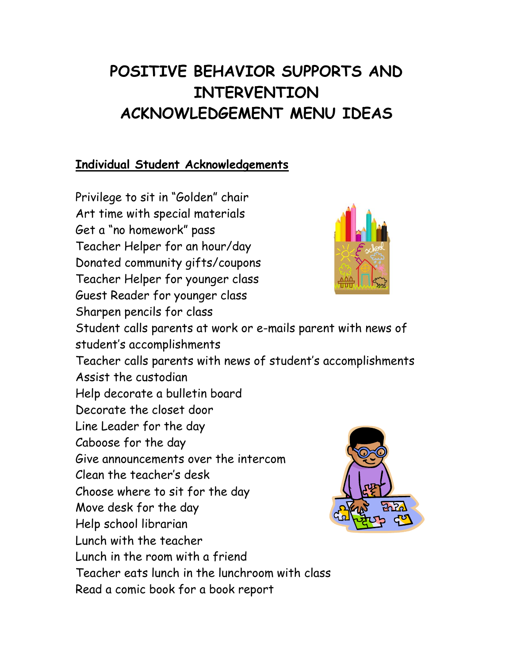# **POSITIVE BEHAVIOR SUPPORTS AND INTERVENTION ACKNOWLEDGEMENT MENU IDEAS**

### **Individual Student Acknowledgements**

Privilege to sit in "Golden" chair Art time with special materials Get a "no homework" pass Teacher Helper for an hour/day Donated community gifts/coupons Teacher Helper for younger class Guest Reader for younger class Sharpen pencils for class Student calls parents at work or e-mails parent with news of student's accomplishments Teacher calls parents with news of student's accomplishments Assist the custodian Help decorate a bulletin board Decorate the closet door Line Leader for the day Caboose for the day Give announcements over the intercom Clean the teacher's desk Choose where to sit for the day Move desk for the day Help school librarian Lunch with the teacher Lunch in the room with a friend Teacher eats lunch in the lunchroom with class Read a comic book for a book report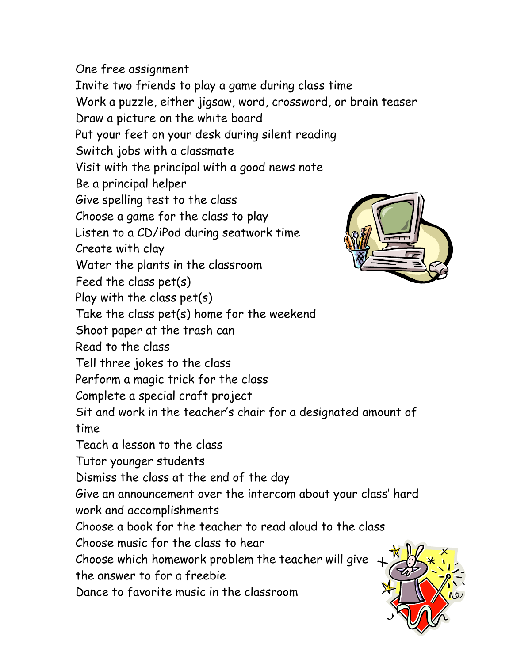One free assignment Invite two friends to play a game during class time Work a puzzle, either jigsaw, word, crossword, or brain teaser Draw a picture on the white board Put your feet on your desk during silent reading Switch jobs with a classmate Visit with the principal with a good news note Be a principal helper Give spelling test to the class Choose a game for the class to play Listen to a CD/iPod during seatwork time Create with clay Water the plants in the classroom Feed the class pet(s) Play with the class pet(s) Take the class pet(s) home for the weekend Shoot paper at the trash can Read to the class Tell three jokes to the class Perform a magic trick for the class Complete a special craft project Sit and work in the teacher's chair for a designated amount of time Teach a lesson to the class Tutor younger students Dismiss the class at the end of the day Give an announcement over the intercom about your class' hard work and accomplishments Choose a book for the teacher to read aloud to the class Choose music for the class to hear Choose which homework problem the teacher will give the answer to for a freebie Dance to favorite music in the classroom

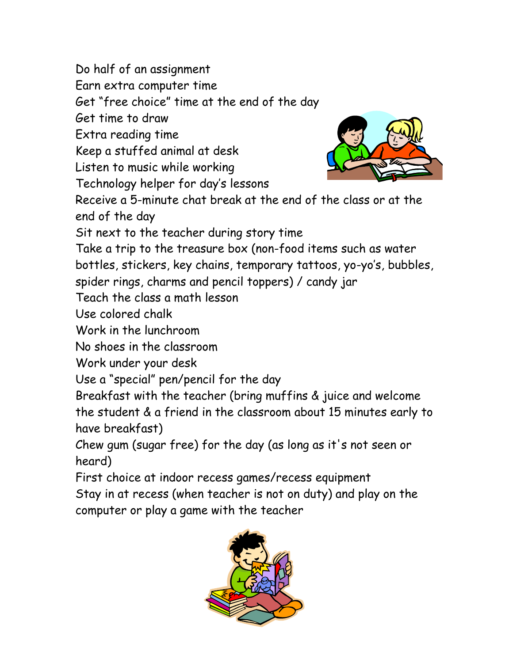Do half of an assignment

Earn extra computer time

Get "free choice" time at the end of the day

Get time to draw

Extra reading time

Keep a stuffed animal at desk

Listen to music while working

Technology helper for day's lessons



Receive a 5-minute chat break at the end of the class or at the end of the day

Sit next to the teacher during story time

Take a trip to the treasure box (non-food items such as water

bottles, stickers, key chains, temporary tattoos, yo-yo's, bubbles,

spider rings, charms and pencil toppers) / candy jar

Teach the class a math lesson

Use colored chalk

Work in the lunchroom

No shoes in the classroom

Work under your desk

Use a "special" pen/pencil for the day

Breakfast with the teacher (bring muffins & juice and welcome the student & a friend in the classroom about 15 minutes early to have breakfast)

Chew gum (sugar free) for the day (as long as it's not seen or heard)

First choice at indoor recess games/recess equipment Stay in at recess (when teacher is not on duty) and play on the computer or play a game with the teacher

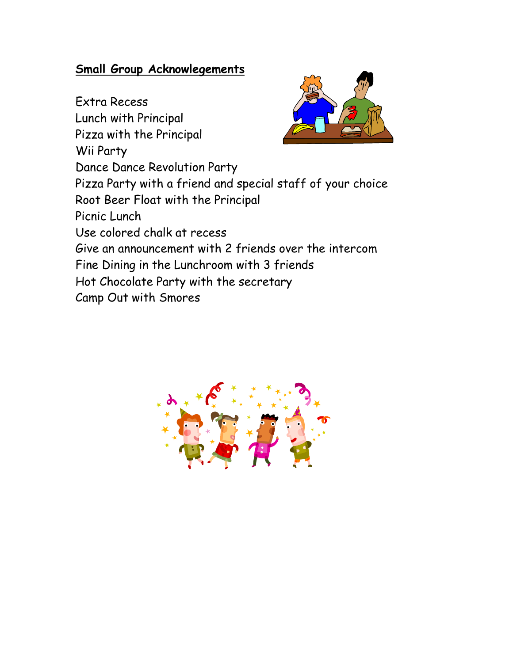#### **Small Group Acknowlegements**

Extra Recess Lunch with Principal Pizza with the Principal Wii Party Dance Dance Revolution Party Pizza Party with a friend and special staff of your choice Root Beer Float with the Principal Picnic Lunch Use colored chalk at recess Give an announcement with 2 friends over the intercom Fine Dining in the Lunchroom with 3 friends Hot Chocolate Party with the secretary Camp Out with Smores

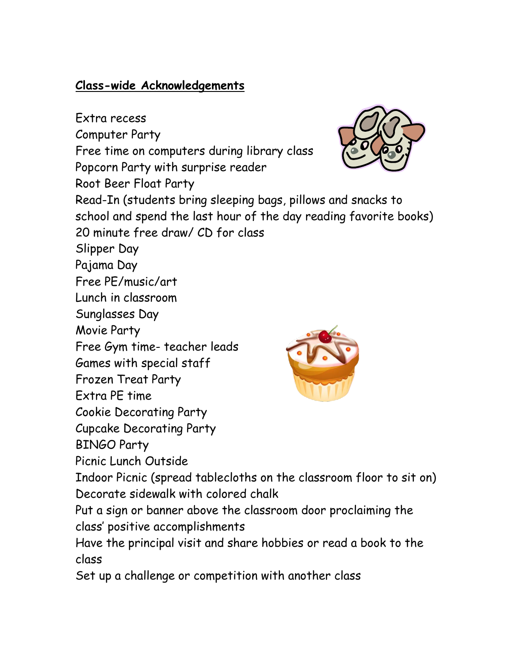## **Class-wide Acknowledgements**

Extra recess Computer Party Free time on computers during library class Popcorn Party with surprise reader Root Beer Float Party Read-In (students bring sleeping bags, pillows and snacks to school and spend the last hour of the day reading favorite books) 20 minute free draw/ CD for class Slipper Day Pajama Day Free PE/music/art Lunch in classroom Sunglasses Day Movie Party Free Gym time- teacher leads Games with special staff Frozen Treat Party Extra PE time Cookie Decorating Party Cupcake Decorating Party BINGO Party Picnic Lunch Outside Indoor Picnic (spread tablecloths on the classroom floor to sit on) Decorate sidewalk with colored chalk Put a sign or banner above the classroom door proclaiming the class' positive accomplishments Have the principal visit and share hobbies or read a book to the class

Set up a challenge or competition with another class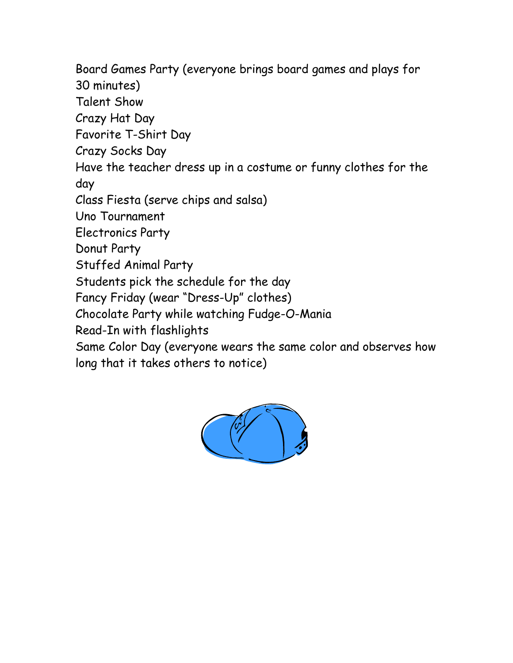Board Games Party (everyone brings board games and plays for

30 minutes)

Talent Show

Crazy Hat Day

Favorite T-Shirt Day

Crazy Socks Day

Have the teacher dress up in a costume or funny clothes for the day

Class Fiesta (serve chips and salsa)

Uno Tournament

Electronics Party

Donut Party

Stuffed Animal Party

Students pick the schedule for the day

Fancy Friday (wear "Dress-Up" clothes)

Chocolate Party while watching Fudge-O-Mania

Read-In with flashlights

Same Color Day (everyone wears the same color and observes how long that it takes others to notice)

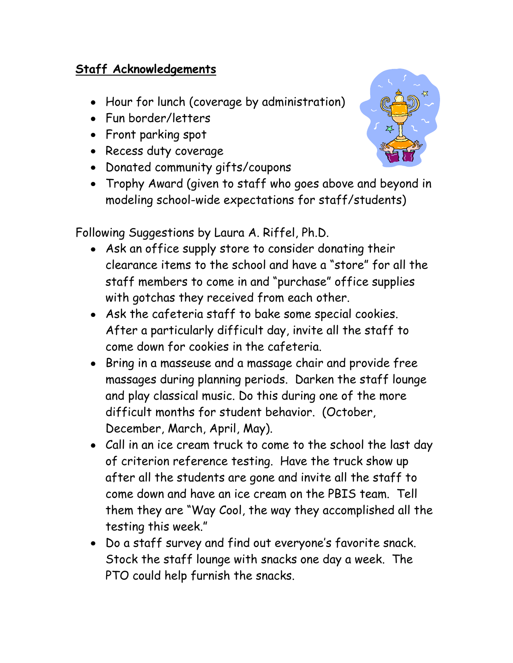## **Staff Acknowledgements**

- Hour for lunch (coverage by administration)
- Fun border/letters
- Front parking spot
- Recess duty coverage
- Donated community gifts/coupons
- Trophy Award (given to staff who goes above and beyond in modeling school-wide expectations for staff/students)

Following Suggestions by Laura A. Riffel, Ph.D.

- Ask an office supply store to consider donating their clearance items to the school and have a "store" for all the staff members to come in and "purchase" office supplies with gotchas they received from each other.
- Ask the cafeteria staff to bake some special cookies. After a particularly difficult day, invite all the staff to come down for cookies in the cafeteria.
- Bring in a masseuse and a massage chair and provide free massages during planning periods. Darken the staff lounge and play classical music. Do this during one of the more difficult months for student behavior. (October, December, March, April, May).
- Call in an ice cream truck to come to the school the last day of criterion reference testing. Have the truck show up after all the students are gone and invite all the staff to come down and have an ice cream on the PBIS team. Tell them they are "Way Cool, the way they accomplished all the testing this week."
- Do a staff survey and find out everyone's favorite snack. Stock the staff lounge with snacks one day a week. The PTO could help furnish the snacks.

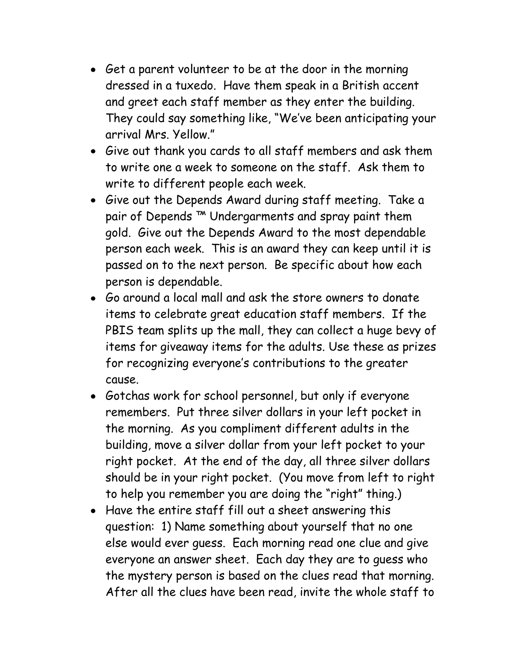- Get a parent volunteer to be at the door in the morning dressed in a tuxedo. Have them speak in a British accent and greet each staff member as they enter the building. They could say something like, "We've been anticipating your arrival Mrs. Yellow."
- Give out thank you cards to all staff members and ask them to write one a week to someone on the staff. Ask them to write to different people each week.
- Give out the Depends Award during staff meeting. Take a pair of Depends<sup>™</sup> Undergarments and spray paint them gold. Give out the Depends Award to the most dependable person each week. This is an award they can keep until it is passed on to the next person. Be specific about how each person is dependable.
- Go around a local mall and ask the store owners to donate items to celebrate great education staff members. If the PBIS team splits up the mall, they can collect a huge bevy of items for giveaway items for the adults. Use these as prizes for recognizing everyone's contributions to the greater cause.
- Gotchas work for school personnel, but only if everyone remembers. Put three silver dollars in your left pocket in the morning. As you compliment different adults in the building, move a silver dollar from your left pocket to your right pocket. At the end of the day, all three silver dollars should be in your right pocket. (You move from left to right to help you remember you are doing the "right" thing.)
- Have the entire staff fill out a sheet answering this question: 1) Name something about yourself that no one else would ever guess. Each morning read one clue and give everyone an answer sheet. Each day they are to guess who the mystery person is based on the clues read that morning. After all the clues have been read, invite the whole staff to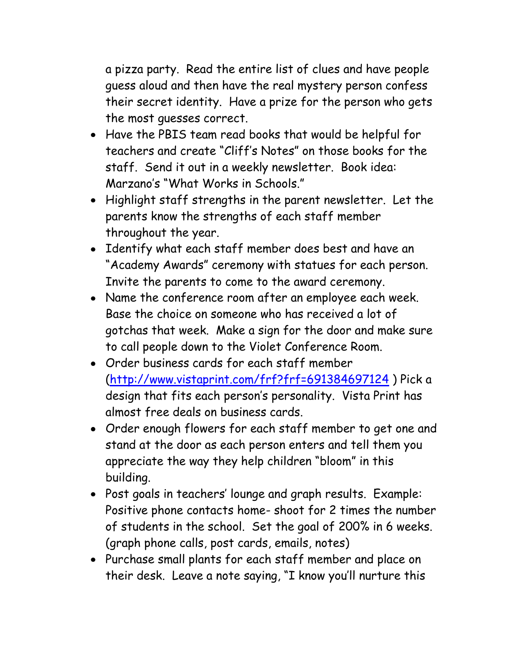a pizza party. Read the entire list of clues and have people guess aloud and then have the real mystery person confess their secret identity. Have a prize for the person who gets the most guesses correct.

- Have the PBIS team read books that would be helpful for teachers and create "Cliff's Notes" on those books for the staff. Send it out in a weekly newsletter. Book idea: Marzano's "What Works in Schools."
- Highlight staff strengths in the parent newsletter. Let the parents know the strengths of each staff member throughout the year.
- Identify what each staff member does best and have an "Academy Awards" ceremony with statues for each person. Invite the parents to come to the award ceremony.
- Name the conference room after an employee each week. Base the choice on someone who has received a lot of gotchas that week. Make a sign for the door and make sure to call people down to the Violet Conference Room.
- Order business cards for each staff member [\(http://www.vistaprint.com/frf?frf=691384697124](http://www.vistaprint.com/frf?frf=691384697124) ) Pick a design that fits each person's personality. Vista Print has almost free deals on business cards.
- Order enough flowers for each staff member to get one and stand at the door as each person enters and tell them you appreciate the way they help children "bloom" in this building.
- Post goals in teachers' lounge and graph results. Example: Positive phone contacts home- shoot for 2 times the number of students in the school. Set the goal of 200% in 6 weeks. (graph phone calls, post cards, emails, notes)
- Purchase small plants for each staff member and place on their desk. Leave a note saying, "I know you'll nurture this